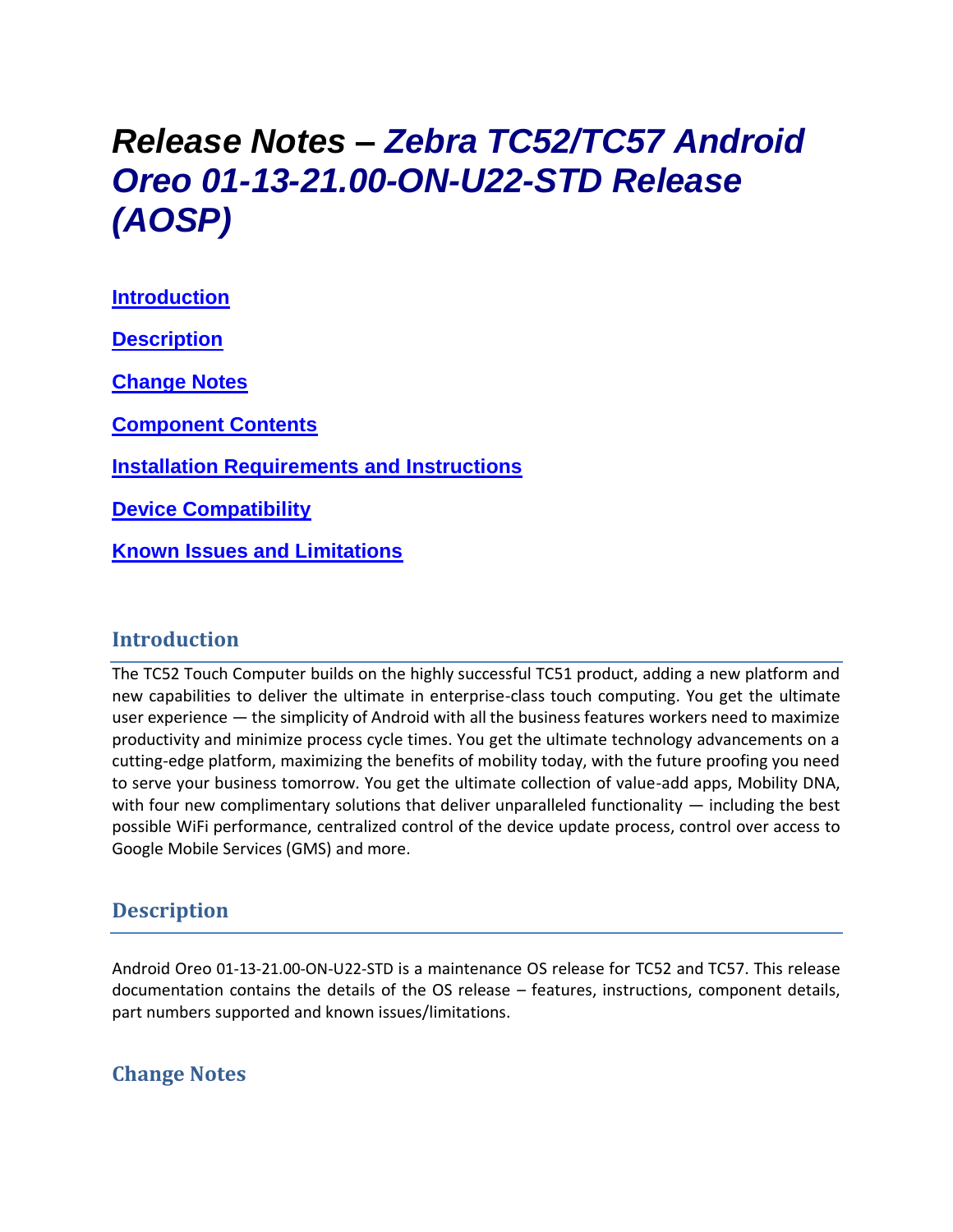# *Release Notes – Zebra TC52/TC57 Android Oreo 01-13-21.00-ON-U22-STD Release (AOSP)*

**[Introduction](#page-0-0) [Description](#page-0-1) [Change Notes](#page-0-2) [Component Contents](#page-1-0) [Installation Requirements](#page-2-0) and Instructions [Device Compatibility](#page-2-0)**

**Known [Issues and Limitations](#page-3-0)**

#### <span id="page-0-0"></span>**Introduction**

<span id="page-0-1"></span>The TC52 Touch Computer builds on the highly successful TC51 product, adding a new platform and new capabilities to deliver the ultimate in enterprise-class touch computing. You get the ultimate user experience — the simplicity of Android with all the business features workers need to maximize productivity and minimize process cycle times. You get the ultimate technology advancements on a cutting-edge platform, maximizing the benefits of mobility today, with the future proofing you need to serve your business tomorrow. You get the ultimate collection of value-add apps, Mobility DNA, with four new complimentary solutions that deliver unparalleled functionality  $-$  including the best possible WiFi performance, centralized control of the device update process, control over access to Google Mobile Services (GMS) and more.

### **Description**

Android Oreo 01-13-21.00-ON-U22-STD is a maintenance OS release for TC52 and TC57. This release documentation contains the details of the OS release – features, instructions, component details, part numbers supported and known issues/limitations.

#### <span id="page-0-2"></span>**Change Notes**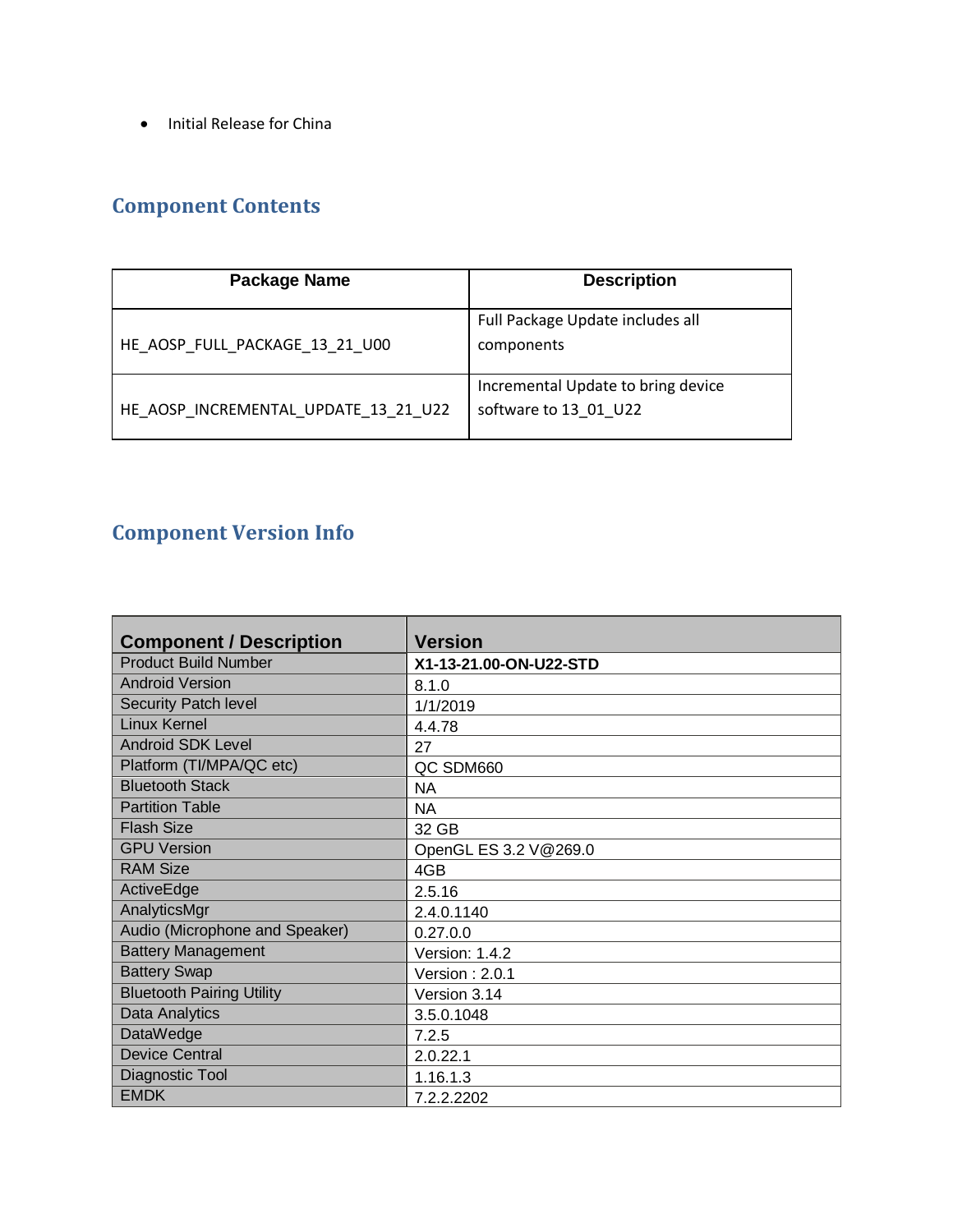• Initial Release for China

# <span id="page-1-0"></span>**Component Contents**

| Package Name                         | <b>Description</b>                                          |
|--------------------------------------|-------------------------------------------------------------|
| HE AOSP FULL PACKAGE 13 21 U00       | Full Package Update includes all<br>components              |
| HE AOSP INCREMENTAL UPDATE 13 21 U22 | Incremental Update to bring device<br>software to 13 01 U22 |

# **Component Version Info**

| <b>Component / Description</b>   | <b>Version</b>         |
|----------------------------------|------------------------|
| <b>Product Build Number</b>      | X1-13-21.00-ON-U22-STD |
| <b>Android Version</b>           | 8.1.0                  |
| <b>Security Patch level</b>      | 1/1/2019               |
| <b>Linux Kernel</b>              | 4.4.78                 |
| <b>Android SDK Level</b>         | 27                     |
| Platform (TI/MPA/QC etc)         | QC SDM660              |
| <b>Bluetooth Stack</b>           | <b>NA</b>              |
| <b>Partition Table</b>           | <b>NA</b>              |
| <b>Flash Size</b>                | 32 GB                  |
| <b>GPU Version</b>               | OpenGL ES 3.2 V@269.0  |
| <b>RAM Size</b>                  | 4GB                    |
| ActiveEdge                       | 2.5.16                 |
| AnalyticsMgr                     | 2.4.0.1140             |
| Audio (Microphone and Speaker)   | 0.27.0.0               |
| <b>Battery Management</b>        | Version: 1.4.2         |
| <b>Battery Swap</b>              | Version: $2.0.1$       |
| <b>Bluetooth Pairing Utility</b> | Version 3.14           |
| Data Analytics                   | 3.5.0.1048             |
| <b>DataWedge</b>                 | 7.2.5                  |
| <b>Device Central</b>            | 2.0.22.1               |
| Diagnostic Tool                  | 1.16.1.3               |
| <b>EMDK</b>                      | 7.2.2.2202             |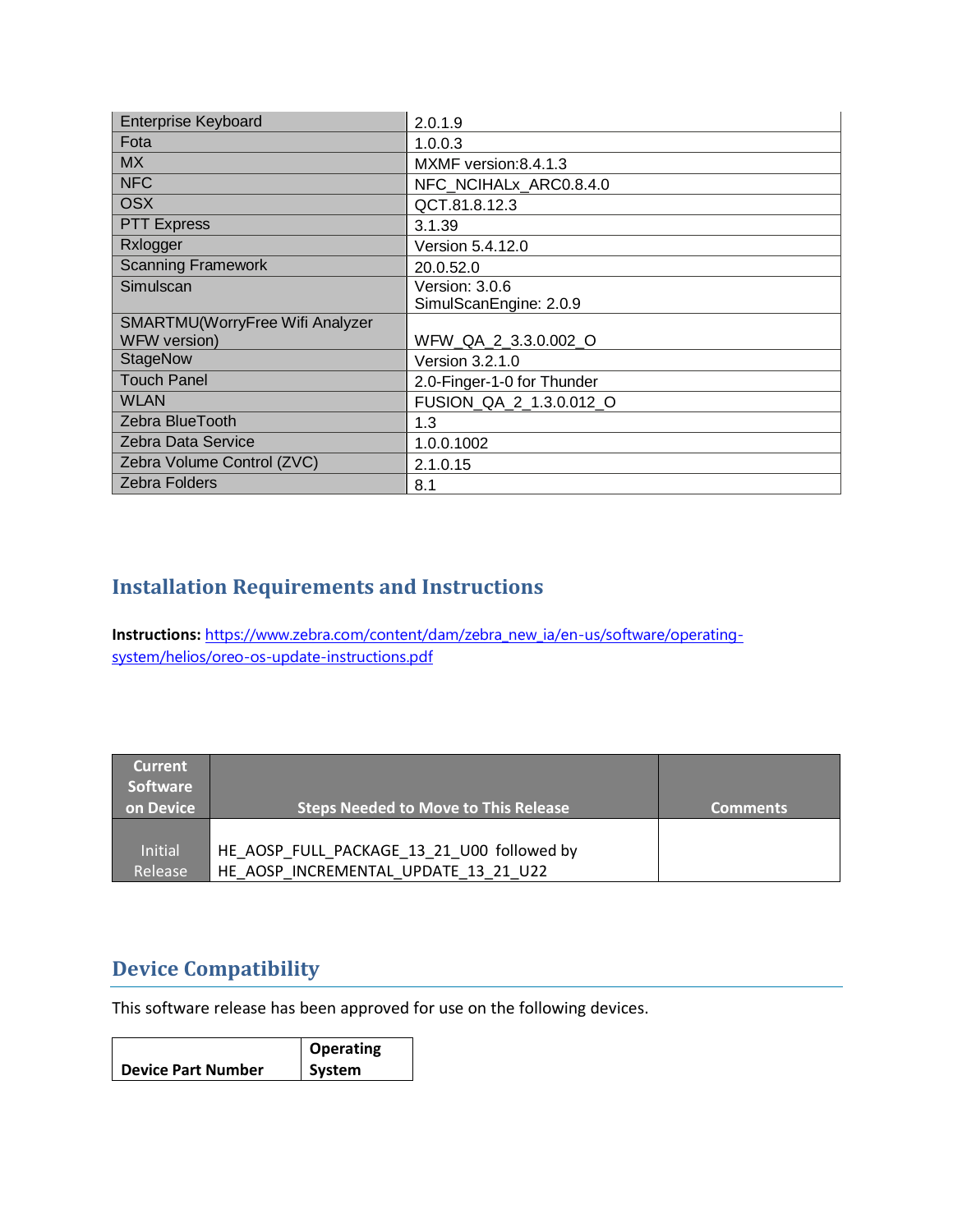| <b>Enterprise Keyboard</b>      | 2.0.1.9                    |
|---------------------------------|----------------------------|
| Fota                            | 1.0.0.3                    |
| <b>MX</b>                       | MXMF version: 8.4.1.3      |
| <b>NFC</b>                      | NFC_NCIHALx_ARC0.8.4.0     |
| <b>OSX</b>                      | QCT.81.8.12.3              |
| <b>PTT Express</b>              | 3.1.39                     |
| Rxlogger                        | Version 5.4.12.0           |
| <b>Scanning Framework</b>       | 20.0.52.0                  |
| Simulscan                       | Version: 3.0.6             |
|                                 | SimulScanEngine: 2.0.9     |
| SMARTMU(WorryFree Wifi Analyzer |                            |
| WFW version)                    | WFW_QA_2_3.3.0.002_O       |
| <b>StageNow</b>                 | Version 3.2.1.0            |
| <b>Touch Panel</b>              | 2.0-Finger-1-0 for Thunder |
| <b>WLAN</b>                     | FUSION_QA_2_1.3.0.012_O    |
| Zebra BlueTooth                 | 1.3                        |
| <b>Zebra Data Service</b>       | 1.0.0.1002                 |
| Zebra Volume Control (ZVC)      | 2.1.0.15                   |
| <b>Zebra Folders</b>            | 8.1                        |

## <span id="page-2-0"></span>**Installation Requirements and Instructions**

**Instructions:** [https://www.zebra.com/content/dam/zebra\\_new\\_ia/en-us/software/operating](https://www.zebra.com/content/dam/zebra_new_ia/en-us/software/operating-system/helios/oreo-os-update-instructions.pdf)[system/helios/oreo-os-update-instructions.pdf](https://www.zebra.com/content/dam/zebra_new_ia/en-us/software/operating-system/helios/oreo-os-update-instructions.pdf)

| <b>Current</b><br><b>Software</b><br>on Device | <b>Steps Needed to Move to This Release</b>                                        | <b>Comments</b> |
|------------------------------------------------|------------------------------------------------------------------------------------|-----------------|
| <b>Initial</b><br>Release                      | HE AOSP FULL PACKAGE 13 21 U00 followed by<br>HE AOSP INCREMENTAL UPDATE 13 21 U22 |                 |

### **Device Compatibility**

This software release has been approved for use on the following devices.

|                           | Operating |
|---------------------------|-----------|
| <b>Device Part Number</b> | System    |